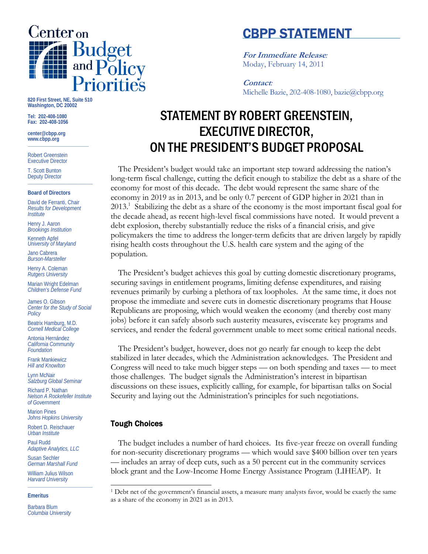

# CBPP STATEMENT

**For Immediate Release***:* Moday, February 14, 2011

**Contact***:* Michelle Bazie, 202-408-1080, bazie@cbpp.org

# STATEMENT BY ROBERT GREENSTEIN, EXECUTIVE DIRECTOR, ON THE PRESIDENT'S BUDGET PROPOSAL

The President's budget would take an important step toward addressing the nation's long-term fiscal challenge, cutting the deficit enough to stabilize the debt as a share of the economy for most of this decade. The debt would represent the same share of the economy in 2019 as in 2013, and be only 0.7 percent of GDP higher in 2021 than in 2013.<sup>1</sup> Stabilizing the debt as a share of the economy is the most important fiscal goal for the decade ahead, as recent high-level fiscal commissions have noted. It would prevent a debt explosion, thereby substantially reduce the risks of a financial crisis, and give policymakers the time to address the longer-term deficits that are driven largely by rapidly rising health costs throughout the U.S. health care system and the aging of the population.

The President's budget achieves this goal by cutting domestic discretionary programs, securing savings in entitlement programs, limiting defense expenditures, and raising revenues primarily by curbing a plethora of tax loopholes. At the same time, it does not propose the immediate and severe cuts in domestic discretionary programs that House Republicans are proposing, which would weaken the economy (and thereby cost many jobs) before it can safely absorb such austerity measures, eviscerate key programs and services, and render the federal government unable to meet some critical national needs.

The President's budget, however, does not go nearly far enough to keep the debt stabilized in later decades, which the Administration acknowledges. The President and Congress will need to take much bigger steps — on both spending and taxes — to meet those challenges. The budget signals the Administration's interest in bipartisan discussions on these issues, explicitly calling, for example, for bipartisan talks on Social Security and laying out the Administration's principles for such negotiations.

## Tough Choices

l

The budget includes a number of hard choices. Its five-year freeze on overall funding for non-security discretionary programs — which would save \$400 billion over ten years — includes an array of deep cuts, such as a 50 percent cut in the community services block grant and the Low-Income Home Energy Assistance Program (LIHEAP). It

**820 First Street, NE, Suite 510 Washington, DC 20002** 

**Tel: 202-408-1080 Fax: 202-408-1056** 

**center@cbpp.org www.cbpp.org \_\_\_\_\_\_\_\_\_\_\_\_\_\_\_\_\_\_\_\_\_\_\_\_** 

Robert Greenstein Executive Director

T. Scott Bunton Deputy Director **\_\_\_\_\_\_\_\_\_\_\_\_\_\_\_\_\_\_\_\_\_\_\_\_** 

#### **Board of Directors**

David de Ferranti, Chair *Results for Development Institute* 

Henry J. Aaron *Brookings Institution* 

Kenneth Apfel *University of Maryland* 

Jano Cabrera *Burson-Marsteller* 

Henry A. Coleman *Rutgers University* 

Marian Wright Edelman *Children's Defense Fund* 

James O. Gibson *Center for the Study of Social Policy* 

Beatrix Hamburg, M.D. *Cornell Medical College* 

Antonia Hernández *California Community Foundation* 

Frank Mankiewicz *Hill and Knowlton* 

Lynn McNair *Salzburg Global Seminar* 

Richard P. Nathan *Nelson A Rockefeller Institute of Government* 

Marion Pines *Johns Hopkins University* 

Robert D. Reischauer *Urban Institute* 

Paul Rudd *Adaptive Analytics, LLC* 

Susan Sechler *German Marshall Fund* 

William Julius Wilson *Harvard University*  **\_\_\_\_\_\_\_\_\_\_\_\_\_\_\_\_\_\_\_\_\_\_\_\_** 

#### **Emeritus**

Barbara Blum *Columbia University* 

<sup>&</sup>lt;sup>1</sup> Debt net of the government's financial assets, a measure many analysts favor, would be exactly the same as a share of the economy in 2021 as in 2013.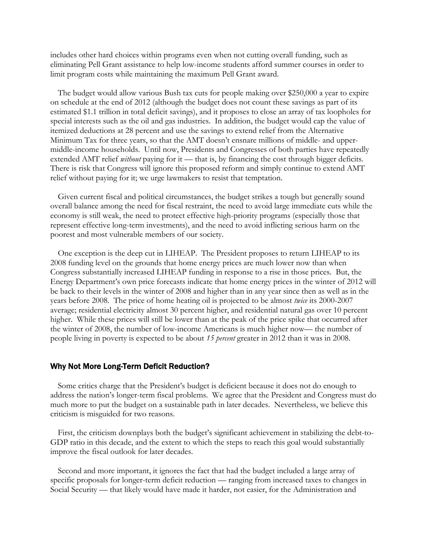includes other hard choices within programs even when not cutting overall funding, such as eliminating Pell Grant assistance to help low-income students afford summer courses in order to limit program costs while maintaining the maximum Pell Grant award.

The budget would allow various Bush tax cuts for people making over \$250,000 a year to expire on schedule at the end of 2012 (although the budget does not count these savings as part of its estimated \$1.1 trillion in total deficit savings), and it proposes to close an array of tax loopholes for special interests such as the oil and gas industries. In addition, the budget would cap the value of itemized deductions at 28 percent and use the savings to extend relief from the Alternative Minimum Tax for three years, so that the AMT doesn't ensnare millions of middle- and uppermiddle-income households. Until now, Presidents and Congresses of both parties have repeatedly extended AMT relief *without* paying for it — that is, by financing the cost through bigger deficits. There is risk that Congress will ignore this proposed reform and simply continue to extend AMT relief without paying for it; we urge lawmakers to resist that temptation.

Given current fiscal and political circumstances, the budget strikes a tough but generally sound overall balance among the need for fiscal restraint, the need to avoid large immediate cuts while the economy is still weak, the need to protect effective high-priority programs (especially those that represent effective long-term investments), and the need to avoid inflicting serious harm on the poorest and most vulnerable members of our society.

One exception is the deep cut in LIHEAP. The President proposes to return LIHEAP to its 2008 funding level on the grounds that home energy prices are much lower now than when Congress substantially increased LIHEAP funding in response to a rise in those prices. But, the Energy Department's own price forecasts indicate that home energy prices in the winter of 2012 will be back to their levels in the winter of 2008 and higher than in any year since then as well as in the years before 2008. The price of home heating oil is projected to be almost *twice* its 2000-2007 average; residential electricity almost 30 percent higher, and residential natural gas over 10 percent higher. While these prices will still be lower than at the peak of the price spike that occurred after the winter of 2008, the number of low-income Americans is much higher now— the number of people living in poverty is expected to be about *15 percent* greater in 2012 than it was in 2008.

## Why Not More Long-Term Deficit Reduction?

Some critics charge that the President's budget is deficient because it does not do enough to address the nation's longer-term fiscal problems. We agree that the President and Congress must do much more to put the budget on a sustainable path in later decades. Nevertheless, we believe this criticism is misguided for two reasons.

First, the criticism downplays both the budget's significant achievement in stabilizing the debt-to-GDP ratio in this decade, and the extent to which the steps to reach this goal would substantially improve the fiscal outlook for later decades.

Second and more important, it ignores the fact that had the budget included a large array of specific proposals for longer-term deficit reduction — ranging from increased taxes to changes in Social Security — that likely would have made it harder, not easier, for the Administration and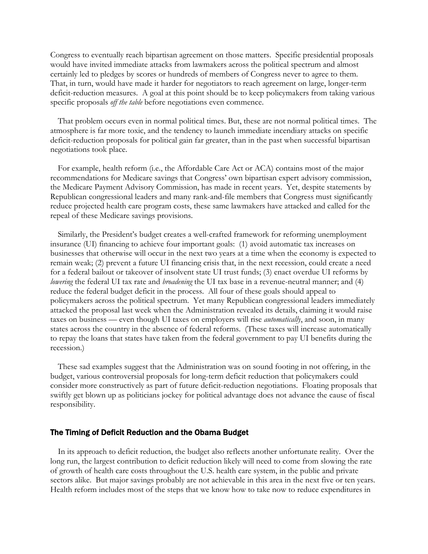Congress to eventually reach bipartisan agreement on those matters. Specific presidential proposals would have invited immediate attacks from lawmakers across the political spectrum and almost certainly led to pledges by scores or hundreds of members of Congress never to agree to them. That, in turn, would have made it harder for negotiators to reach agreement on large, longer-term deficit-reduction measures. A goal at this point should be to keep policymakers from taking various specific proposals *off the table* before negotiations even commence.

That problem occurs even in normal political times. But, these are not normal political times. The atmosphere is far more toxic, and the tendency to launch immediate incendiary attacks on specific deficit-reduction proposals for political gain far greater, than in the past when successful bipartisan negotiations took place.

For example, health reform (i.e., the Affordable Care Act or ACA) contains most of the major recommendations for Medicare savings that Congress' own bipartisan expert advisory commission, the Medicare Payment Advisory Commission, has made in recent years. Yet, despite statements by Republican congressional leaders and many rank-and-file members that Congress must significantly reduce projected health care program costs, these same lawmakers have attacked and called for the repeal of these Medicare savings provisions.

Similarly, the President's budget creates a well-crafted framework for reforming unemployment insurance (UI) financing to achieve four important goals: (1) avoid automatic tax increases on businesses that otherwise will occur in the next two years at a time when the economy is expected to remain weak; (2) prevent a future UI financing crisis that, in the next recession, could create a need for a federal bailout or takeover of insolvent state UI trust funds; (3) enact overdue UI reforms by *lowering* the federal UI tax rate and *broadening* the UI tax base in a revenue-neutral manner; and (4) reduce the federal budget deficit in the process. All four of these goals should appeal to policymakers across the political spectrum. Yet many Republican congressional leaders immediately attacked the proposal last week when the Administration revealed its details, claiming it would raise taxes on business — even though UI taxes on employers will rise *automatically*, and soon, in many states across the country in the absence of federal reforms. (These taxes will increase automatically to repay the loans that states have taken from the federal government to pay UI benefits during the recession.)

These sad examples suggest that the Administration was on sound footing in not offering, in the budget, various controversial proposals for long-term deficit reduction that policymakers could consider more constructively as part of future deficit-reduction negotiations. Floating proposals that swiftly get blown up as politicians jockey for political advantage does not advance the cause of fiscal responsibility.

### The Timing of Deficit Reduction and the Obama Budget

In its approach to deficit reduction, the budget also reflects another unfortunate reality. Over the long run, the largest contribution to deficit reduction likely will need to come from slowing the rate of growth of health care costs throughout the U.S. health care system, in the public and private sectors alike. But major savings probably are not achievable in this area in the next five or ten years. Health reform includes most of the steps that we know how to take now to reduce expenditures in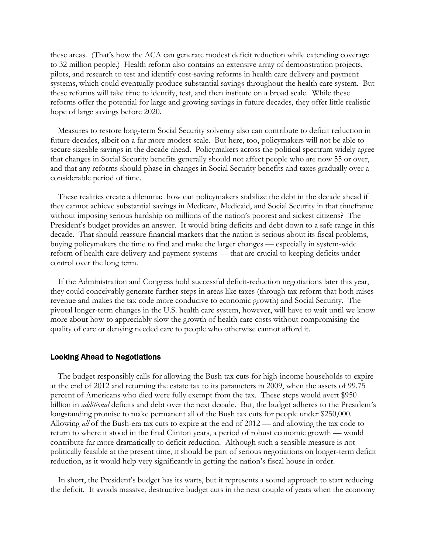these areas. (That's how the ACA can generate modest deficit reduction while extending coverage to 32 million people.) Health reform also contains an extensive array of demonstration projects, pilots, and research to test and identify cost-saving reforms in health care delivery and payment systems, which could eventually produce substantial savings throughout the health care system. But these reforms will take time to identify, test, and then institute on a broad scale. While these reforms offer the potential for large and growing savings in future decades, they offer little realistic hope of large savings before 2020.

Measures to restore long-term Social Security solvency also can contribute to deficit reduction in future decades, albeit on a far more modest scale. But here, too, policymakers will not be able to secure sizeable savings in the decade ahead. Policymakers across the political spectrum widely agree that changes in Social Security benefits generally should not affect people who are now 55 or over, and that any reforms should phase in changes in Social Security benefits and taxes gradually over a considerable period of time.

These realities create a dilemma: how can policymakers stabilize the debt in the decade ahead if they cannot achieve substantial savings in Medicare, Medicaid, and Social Security in that timeframe without imposing serious hardship on millions of the nation's poorest and sickest citizens? The President's budget provides an answer. It would bring deficits and debt down to a safe range in this decade. That should reassure financial markets that the nation is serious about its fiscal problems, buying policymakers the time to find and make the larger changes — especially in system-wide reform of health care delivery and payment systems — that are crucial to keeping deficits under control over the long term.

If the Administration and Congress hold successful deficit-reduction negotiations later this year, they could conceivably generate further steps in areas like taxes (through tax reform that both raises revenue and makes the tax code more conducive to economic growth) and Social Security. The pivotal longer-term changes in the U.S. health care system, however, will have to wait until we know more about how to appreciably slow the growth of health care costs without compromising the quality of care or denying needed care to people who otherwise cannot afford it.

### Looking Ahead to Negotiations

The budget responsibly calls for allowing the Bush tax cuts for high-income households to expire at the end of 2012 and returning the estate tax to its parameters in 2009, when the assets of 99.75 percent of Americans who died were fully exempt from the tax. These steps would avert \$950 billion in *additional* deficits and debt over the next decade. But, the budget adheres to the President's longstanding promise to make permanent all of the Bush tax cuts for people under \$250,000. Allowing *all* of the Bush-era tax cuts to expire at the end of 2012 — and allowing the tax code to return to where it stood in the final Clinton years, a period of robust economic growth — would contribute far more dramatically to deficit reduction. Although such a sensible measure is not politically feasible at the present time, it should be part of serious negotiations on longer-term deficit reduction, as it would help very significantly in getting the nation's fiscal house in order.

In short, the President's budget has its warts, but it represents a sound approach to start reducing the deficit. It avoids massive, destructive budget cuts in the next couple of years when the economy